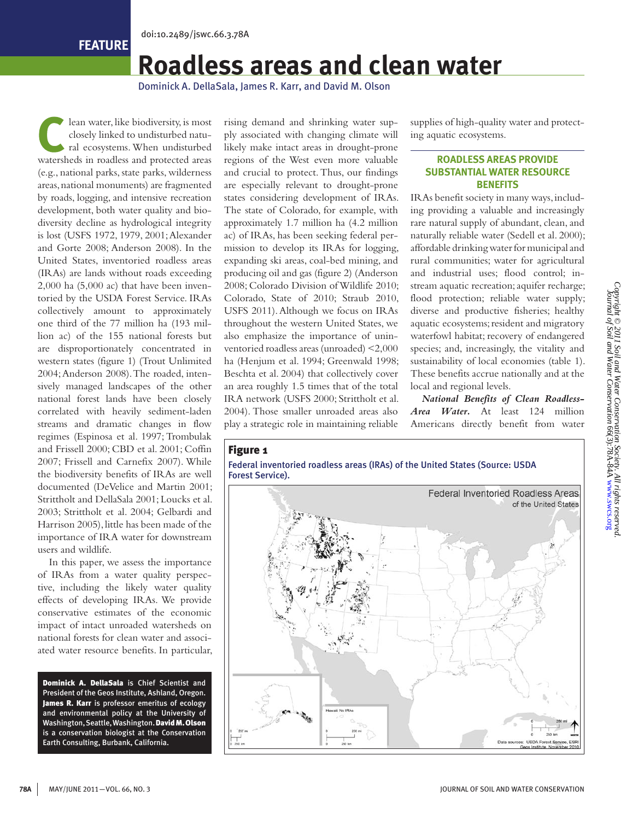# **Roadless areas and clean water**

Dominick A. DellaSala, James R. Karr, and David M. Olson

ral ecosystems. When undisturbed natural ecosystems. When undisturbed closely linked to undisturbed natuwatersheds in roadless and protected areas (e.g., national parks, state parks, wilderness areas, national monuments) are fragmented by roads, logging, and intensive recreation development, both water quality and biodiversity decline as hydrological integrity is lost (USFS 1972, 1979, 2001; Alexander and Gorte 2008; Anderson 2008). In the United States, inventoried roadless areas (IRAs) are lands without roads exceeding 2,000 ha (5,000 ac) that have been inventoried by the USDA Forest Service. IRAs collectively amount to approximately one third of the 77 million ha (193 million ac) of the 155 national forests but are disproportionately concentrated in western states (figure 1) (Trout Unlimited 2004; Anderson 2008). The roaded, intensively managed landscapes of the other national forest lands have been closely correlated with heavily sediment-laden streams and dramatic changes in flow regimes (Espinosa et al. 1997; Trombulak and Frissell 2000; CBD et al. 2001; Coffin 2007; Frissell and Carnefix 2007). While the biodiversity benefits of IRAs are well documented (DeVelice and Martin 2001; Strittholt and DellaSala 2001; Loucks et al. 2003; Strittholt et al. 2004; Gelbardi and Harrison 2005), little has been made of the importance of IRA water for downstream users and wildlife.

In this paper, we assess the importance of IRAs from a water quality perspective, including the likely water quality effects of developing IRAs. We provide conservative estimates of the economic impact of intact unroaded watersheds on national forests for clean water and associated water resource benefits. In particular,

Dominick A. DellaSala is Chief Scientist and President of the Geos Institute, Ashland, Oregon. James R. Karr is professor emeritus of ecology and environmental policy at the University of Washington, Seattle, Washington. David M. Olson is a conservation biologist at the Conservation Earth Consulting, Burbank, California.

rising demand and shrinking water supply associated with changing climate will likely make intact areas in drought-prone regions of the West even more valuable and crucial to protect. Thus, our findings are especially relevant to drought-prone states considering development of IRAs. The state of Colorado, for example, with approximately 1.7 million ha (4.2 million ac) of IRAs, has been seeking federal permission to develop its IRAs for logging, expanding ski areas, coal-bed mining, and producing oil and gas (figure 2) (Anderson 2008; Colorado Division of Wildlife 2010; Colorado, State of 2010; Straub 2010, USFS 2011). Although we focus on IRAs throughout the western United States, we also emphasize the importance of uninventoried roadless areas (unroaded) <2,000 ha (Henjum et al. 1994; Greenwald 1998; Beschta et al. 2004) that collectively cover an area roughly 1.5 times that of the total IRA network (USFS 2000; Strittholt et al. 2004). Those smaller unroaded areas also play a strategic role in maintaining reliable

supplies of high-quality water and protecting aquatic ecosystems.

# **Roadless Areas Provide Substantial Water Resource Benefits**

IRAs benefit society in many ways, including providing a valuable and increasingly rare natural supply of abundant, clean, and naturally reliable water (Sedell et al. 2000); affordable drinking water for municipal and rural communities; water for agricultural and industrial uses; flood control; instream aquatic recreation; aquifer recharge; flood protection; reliable water supply; diverse and productive fisheries; healthy aquatic ecosystems; resident and migratory waterfowl habitat; recovery of endangered species; and, increasingly, the vitality and sustainability of local economies (table 1). These benefits accrue nationally and at the local and regional levels.

*National Benefits of Clean Roadless-Area Water.* At least 124 million Americans directly benefit from water

# Figure 1



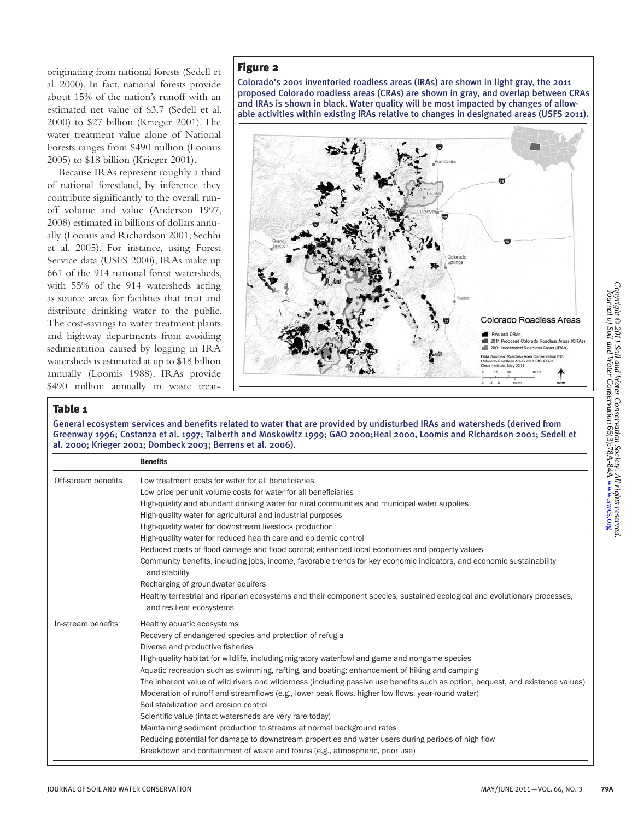originating from national forests (Sedell et al. 2000). In fact, national forests provide about 15% of the nation's runoff with an estimated net value of \$3.7 (Sedell et al. 2000) to \$27 billion (Krieger 2001). The water treatment value alone of National Forests ranges from \$490 million (Loomis 2005) to \$18 billion (Krieger 2001).

Because IRAs represent roughly a third of national forestland, by inference they contribute significantly to the overall runoff volume and value (Anderson 1997, 2008) estimated in billions of dollars annually (Loomis and Richardson 2001; Sechhi et al. 2005). For instance, using Forest Service data (USFS 2000), IRAs make up 661 of the 914 national forest watersheds, with 55% of the 914 watersheds acting as source areas for facilities that treat and distribute drinking water to the public. The cost-savings to water treatment plants and highway departments from avoiding sedimentation caused by logging in IRA watersheds is estimated at up to \$18 billion annually (Loomis 1988). IRAs provide \$490 million annually in waste treat-

# Figure 2

Colorado's 2001 inventoried roadless areas (IRAs) are shown in light gray, the 2011 proposed Colorado roadless areas (CRAs) are shown in gray, and overlap between CRAs and IRAs is shown in black. Water quality will be most impacted by changes of allowable activities within existing IRAs relative to changes in designated areas (USFS 2011).



#### Table 1

General ecosystem services and benefits related to water that are provided by undisturbed IRAs and watersheds (derived from Greenway 1996; Costanza et al. 1997; Talberth and Moskowitz 1999; GAO 2000;Heal 2000, Loomis and Richardson 2001; Sedell et al. 2000; Krieger 2001; Dombeck 2003; Berrens et al. 2006).

|                     | <b>Benefits</b>                                                                                                                                       |
|---------------------|-------------------------------------------------------------------------------------------------------------------------------------------------------|
| Off-stream benefits | Low treatment costs for water for all beneficiaries                                                                                                   |
|                     | Low price per unit volume costs for water for all beneficiaries                                                                                       |
|                     | High-quality and abundant drinking water for rural communities and municipal water supplies                                                           |
|                     | High-quality water for agricultural and industrial purposes                                                                                           |
|                     | High-quality water for downstream livestock production                                                                                                |
|                     | High-quality water for reduced health care and epidemic control                                                                                       |
|                     | Reduced costs of flood damage and flood control; enhanced local economies and property values                                                         |
|                     | Community benefits, including jobs, income, favorable trends for key economic indicators, and economic sustainability<br>and stability                |
|                     | Recharging of groundwater aquifers                                                                                                                    |
|                     | Healthy terrestrial and riparian ecosystems and their component species, sustained ecological and evolutionary processes,<br>and resilient ecosystems |
| In-stream benefits  | Healthy aquatic ecosystems                                                                                                                            |
|                     | Recovery of endangered species and protection of refugia                                                                                              |
|                     | Diverse and productive fisheries                                                                                                                      |
|                     | High-quality habitat for wildlife, including migratory waterfowl and game and nongame species                                                         |
|                     | Aquatic recreation such as swimming, rafting, and boating; enhancement of hiking and camping                                                          |
|                     | The inherent value of wild rivers and wilderness (including passive use benefits such as option, bequest, and existence values)                       |
|                     | Moderation of runoff and streamflows (e.g., lower peak flows, higher low flows, year-round water)                                                     |
|                     | Soil stabilization and erosion control                                                                                                                |
|                     | Scientific value (intact watersheds are very rare today)                                                                                              |
|                     | Maintaining sediment production to streams at normal background rates                                                                                 |
|                     | Reducing potential for damage to downstream properties and water users during periods of high flow                                                    |
|                     | Breakdown and containment of waste and toxins (e.g., atmospheric, prior use)                                                                          |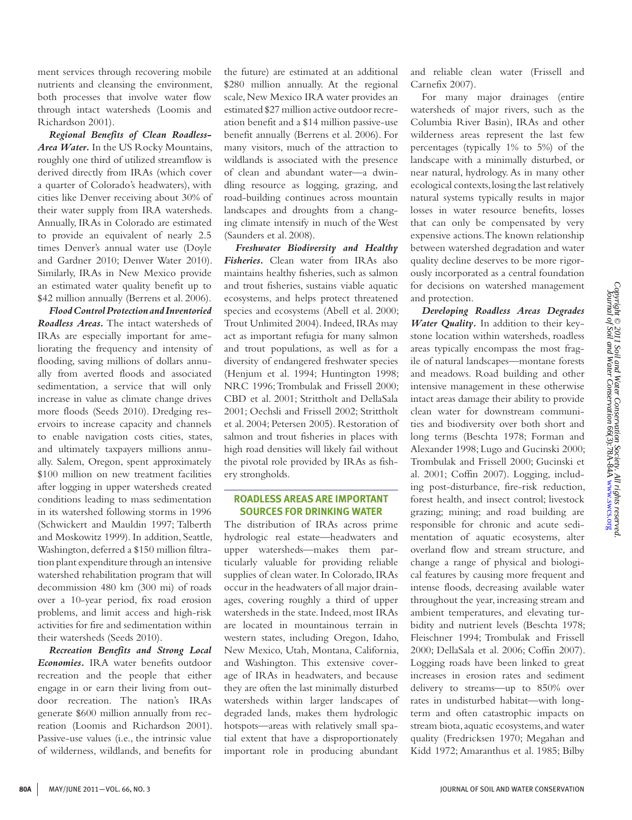ment services through recovering mobile nutrients and cleansing the environment, both processes that involve water flow through intact watersheds (Loomis and Richardson 2001).

*Regional Benefits of Clean Roadless-Area Water.* In the US Rocky Mountains, roughly one third of utilized streamflow is derived directly from IRAs (which cover a quarter of Colorado's headwaters), with cities like Denver receiving about 30% of their water supply from IRA watersheds. Annually, IRAs in Colorado are estimated to provide an equivalent of nearly 2.5 times Denver's annual water use (Doyle and Gardner 2010; Denver Water 2010). Similarly, IRAs in New Mexico provide an estimated water quality benefit up to \$42 million annually (Berrens et al. 2006).

*Flood Control Protection and Inventoried Roadless Areas.* The intact watersheds of IRAs are especially important for ameliorating the frequency and intensity of flooding, saving millions of dollars annually from averted floods and associated sedimentation, a service that will only increase in value as climate change drives more floods (Seeds 2010). Dredging reservoirs to increase capacity and channels to enable navigation costs cities, states, and ultimately taxpayers millions annually. Salem, Oregon, spent approximately \$100 million on new treatment facilities after logging in upper watersheds created conditions leading to mass sedimentation in its watershed following storms in 1996 (Schwickert and Mauldin 1997; Talberth and Moskowitz 1999). In addition, Seattle, Washington, deferred a \$150 million filtration plant expenditure through an intensive watershed rehabilitation program that will decommission 480 km (300 mi) of roads over a 10-year period, fix road erosion problems, and limit access and high-risk activities for fire and sedimentation within their watersheds (Seeds 2010).

*Recreation Benefits and Strong Local Economies.* IRA water benefits outdoor recreation and the people that either engage in or earn their living from outdoor recreation. The nation's IRAs generate \$600 million annually from recreation (Loomis and Richardson 2001). Passive-use values (i.e., the intrinsic value of wilderness, wildlands, and benefits for

the future) are estimated at an additional \$280 million annually. At the regional scale, New Mexico IRA water provides an estimated \$27 million active outdoor recreation benefit and a \$14 million passive-use benefit annually (Berrens et al. 2006). For many visitors, much of the attraction to wildlands is associated with the presence of clean and abundant water—a dwindling resource as logging, grazing, and road-building continues across mountain landscapes and droughts from a changing climate intensify in much of the West (Saunders et al. 2008).

*Freshwater Biodiversity and Healthy Fisheries.* Clean water from IRAs also maintains healthy fisheries, such as salmon and trout fisheries, sustains viable aquatic ecosystems, and helps protect threatened species and ecosystems (Abell et al. 2000; Trout Unlimited 2004). Indeed, IRAs may act as important refugia for many salmon and trout populations, as well as for a diversity of endangered freshwater species (Henjum et al. 1994; Huntington 1998; NRC 1996; Trombulak and Frissell 2000; CBD et al. 2001; Strittholt and DellaSala 2001; Oechsli and Frissell 2002; Strittholt et al. 2004; Petersen 2005). Restoration of salmon and trout fisheries in places with high road densities will likely fail without the pivotal role provided by IRAs as fishery strongholds.

#### **Roadless Areas are Important Sources for Drinking Water**

The distribution of IRAs across prime hydrologic real estate—headwaters and upper watersheds—makes them particularly valuable for providing reliable supplies of clean water. In Colorado, IRAs occur in the headwaters of all major drainages, covering roughly a third of upper watersheds in the state. Indeed, most IRAs are located in mountainous terrain in western states, including Oregon, Idaho, New Mexico, Utah, Montana, California, and Washington. This extensive coverage of IRAs in headwaters, and because they are often the last minimally disturbed watersheds within larger landscapes of degraded lands, makes them hydrologic hotspots—areas with relatively small spatial extent that have a disproportionately important role in producing abundant

and reliable clean water (Frissell and Carnefix 2007).

For many major drainages (entire watersheds of major rivers, such as the Columbia River Basin), IRAs and other wilderness areas represent the last few percentages (typically 1% to 5%) of the landscape with a minimally disturbed, or near natural, hydrology. As in many other ecological contexts, losing the last relatively natural systems typically results in major losses in water resource benefits, losses that can only be compensated by very expensive actions. The known relationship between watershed degradation and water quality decline deserves to be more rigorously incorporated as a central foundation for decisions on watershed management and protection.

*Developing Roadless Areas Degrades Water Quality.* In addition to their keystone location within watersheds, roadless areas typically encompass the most fragile of natural landscapes—montane forests and meadows. Road building and other intensive management in these otherwise intact areas damage their ability to provide clean water for downstream communities and biodiversity over both short and long terms (Beschta 1978; Forman and Alexander 1998; Lugo and Gucinski 2000; Trombulak and Frissell 2000; Gucinski et al. 2001; Coffin 2007). Logging, including post-disturbance, fire-risk reduction, forest health, and insect control; livestock grazing; mining; and road building are responsible for chronic and acute sedimentation of aquatic ecosystems, alter overland flow and stream structure, and change a range of physical and biological features by causing more frequent and intense floods, decreasing available water throughout the year, increasing stream and ambient temperatures, and elevating turbidity and nutrient levels (Beschta 1978; Fleischner 1994; Trombulak and Frissell 2000; DellaSala et al. 2006; Coffin 2007). Logging roads have been linked to great increases in erosion rates and sediment delivery to streams—up to 850% over rates in undisturbed habitat—with longterm and often catastrophic impacts on stream biota, aquatic ecosystems, and water quality (Fredricksen 1970; Megahan and Kidd 1972; Amaranthus et al. 1985; Bilby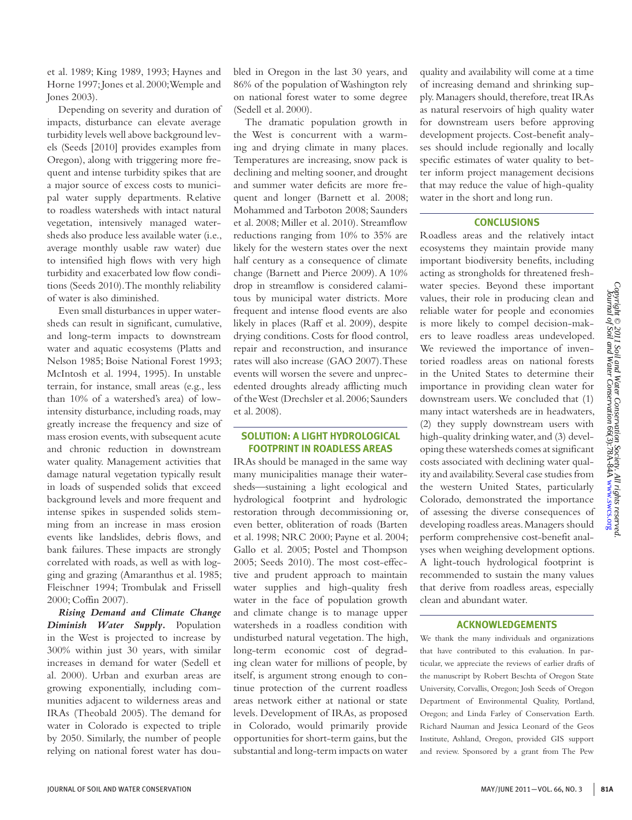et al. 1989; King 1989, 1993; Haynes and Horne 1997; Jones et al. 2000; Wemple and Jones 2003).

Depending on severity and duration of impacts, disturbance can elevate average turbidity levels well above background levels (Seeds [2010] provides examples from Oregon), along with triggering more frequent and intense turbidity spikes that are a major source of excess costs to municipal water supply departments. Relative to roadless watersheds with intact natural vegetation, intensively managed watersheds also produce less available water (i.e., average monthly usable raw water) due to intensified high flows with very high turbidity and exacerbated low flow conditions (Seeds 2010). The monthly reliability of water is also diminished.

Even small disturbances in upper watersheds can result in significant, cumulative, and long-term impacts to downstream water and aquatic ecosystems (Platts and Nelson 1985; Boise National Forest 1993; McIntosh et al. 1994, 1995). In unstable terrain, for instance, small areas (e.g., less than 10% of a watershed's area) of lowintensity disturbance, including roads, may greatly increase the frequency and size of mass erosion events, with subsequent acute and chronic reduction in downstream water quality. Management activities that damage natural vegetation typically result in loads of suspended solids that exceed background levels and more frequent and intense spikes in suspended solids stemming from an increase in mass erosion events like landslides, debris flows, and bank failures. These impacts are strongly correlated with roads, as well as with logging and grazing (Amaranthus et al. 1985; Fleischner 1994; Trombulak and Frissell 2000; Coffin 2007).

*Rising Demand and Climate Change Diminish Water Supply.* Population in the West is projected to increase by 300% within just 30 years, with similar increases in demand for water (Sedell et al. 2000). Urban and exurban areas are growing exponentially, including communities adjacent to wilderness areas and IRAs (Theobald 2005). The demand for water in Colorado is expected to triple by 2050. Similarly, the number of people relying on national forest water has doubled in Oregon in the last 30 years, and 86% of the population of Washington rely on national forest water to some degree (Sedell et al. 2000).

The dramatic population growth in the West is concurrent with a warming and drying climate in many places. Temperatures are increasing, snow pack is declining and melting sooner, and drought and summer water deficits are more frequent and longer (Barnett et al. 2008; Mohammed and Tarboton 2008; Saunders et al. 2008; Miller et al. 2010). Streamflow reductions ranging from 10% to 35% are likely for the western states over the next half century as a consequence of climate change (Barnett and Pierce 2009). A 10% drop in streamflow is considered calamitous by municipal water districts. More frequent and intense flood events are also likely in places (Raff et al. 2009), despite drying conditions. Costs for flood control, repair and reconstruction, and insurance rates will also increase (GAO 2007). These events will worsen the severe and unprecedented droughts already afflicting much of the West (Drechsler et al. 2006; Saunders et al. 2008).

# **Solution: A Light Hydrological Footprint in Roadless Areas**

IRAs should be managed in the same way many municipalities manage their watersheds—sustaining a light ecological and hydrological footprint and hydrologic restoration through decommissioning or, even better, obliteration of roads (Barten et al. 1998; NRC 2000; Payne et al. 2004; Gallo et al. 2005; Postel and Thompson 2005; Seeds 2010). The most cost-effective and prudent approach to maintain water supplies and high-quality fresh water in the face of population growth and climate change is to manage upper watersheds in a roadless condition with undisturbed natural vegetation. The high, long-term economic cost of degrading clean water for millions of people, by itself, is argument strong enough to continue protection of the current roadless areas network either at national or state levels. Development of IRAs, as proposed in Colorado, would primarily provide opportunities for short-term gains, but the substantial and long-term impacts on water

quality and availability will come at a time of increasing demand and shrinking supply. Managers should, therefore, treat IRAs as natural reservoirs of high quality water for downstream users before approving development projects. Cost-benefit analyses should include regionally and locally specific estimates of water quality to better inform project management decisions that may reduce the value of high-quality water in the short and long run.

#### **Conclusions**

Roadless areas and the relatively intact ecosystems they maintain provide many important biodiversity benefits, including acting as strongholds for threatened freshwater species. Beyond these important values, their role in producing clean and reliable water for people and economies is more likely to compel decision-makers to leave roadless areas undeveloped. We reviewed the importance of inventoried roadless areas on national forests in the United States to determine their importance in providing clean water for downstream users. We concluded that (1) many intact watersheds are in headwaters, (2) they supply downstream users with high-quality drinking water, and (3) developing these watersheds comes at significant costs associated with declining water quality and availability. Several case studies from the western United States, particularly Colorado, demonstrated the importance of assessing the diverse consequences of developing roadless areas. Managers should perform comprehensive cost-benefit analyses when weighing development options. A light-touch hydrological footprint is recommended to sustain the many values that derive from roadless areas, especially clean and abundant water.

## **Acknowledgements**

We thank the many individuals and organizations that have contributed to this evaluation. In particular, we appreciate the reviews of earlier drafts of the manuscript by Robert Beschta of Oregon State University, Corvallis, Oregon; Josh Seeds of Oregon Department of Environmental Quality, Portland, Oregon; and Linda Farley of Conservation Earth. Richard Nauman and Jessica Leonard of the Geos Institute, Ashland, Oregon, provided GIS support and review. Sponsored by a grant from The Pew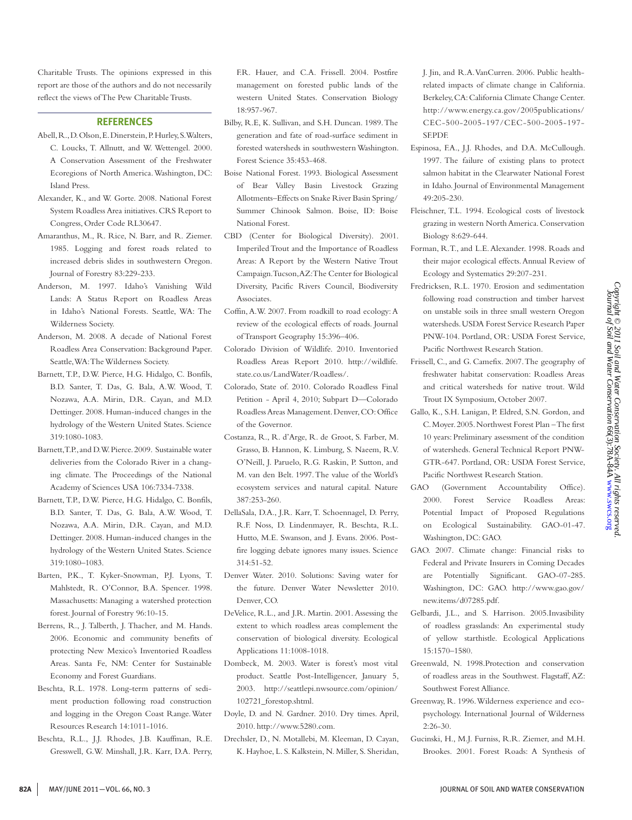Charitable Trusts. The opinions expressed in this report are those of the authors and do not necessarily reflect the views of The Pew Charitable Trusts.

#### **References**

- Abell, R., D. Olson, E. Dinerstein, P. Hurley, S. Walters, C. Loucks, T. Allnutt, and W. Wettengel. 2000. A Conservation Assessment of the Freshwater Ecoregions of North America. Washington, DC: Island Press.
- Alexander, K., and W. Gorte. 2008. National Forest System Roadless Area initiatives. CRS Report to Congress, Order Code RL30647.
- Amaranthus, M., R. Rice, N. Barr, and R. Ziemer. 1985. Logging and forest roads related to increased debris slides in southwestern Oregon. Journal of Forestry 83:229-233.
- Anderson, M. 1997. Idaho's Vanishing Wild Lands: A Status Report on Roadless Areas in Idaho's National Forests. Seattle, WA: The Wilderness Society.
- Anderson, M. 2008. A decade of National Forest Roadless Area Conservation: Background Paper. Seattle, WA: The Wilderness Society.
- Barnett, T.P., D.W. Pierce, H.G. Hidalgo, C. Bonfils, B.D. Santer, T. Das, G. Bala, A.W. Wood, T. Nozawa, A.A. Mirin, D.R. Cayan, and M.D. Dettinger. 2008. Human-induced changes in the hydrology of the Western United States. Science 319:1080-1083.
- Barnett, T.P., and D.W. Pierce. 2009. Sustainable water deliveries from the Colorado River in a changing climate. The Proceedings of the National Academy of Sciences USA 106:7334-7338.
- Barnett, T.P., D.W. Pierce, H.G. Hidalgo, C. Bonfils, B.D. Santer, T. Das, G. Bala, A.W. Wood, T. Nozawa, A.A. Mirin, D.R. Cayan, and M.D. Dettinger. 2008. Human-induced changes in the hydrology of the Western United States. Science 319:1080–1083.
- Barten, P.K., T. Kyker-Snowman, P.J. Lyons, T. Mahlstedt, R. O'Connor, B.A. Spencer. 1998. Massachusetts: Managing a watershed protection forest. Journal of Forestry 96:10-15.
- Berrens, R., J. Talberth, J. Thacher, and M. Hands. 2006. Economic and community benefits of protecting New Mexico's Inventoried Roadless Areas. Santa Fe, NM: Center for Sustainable Economy and Forest Guardians.
- Beschta, R.L. 1978. Long-term patterns of sediment production following road construction and logging in the Oregon Coast Range. Water Resources Research 14:1011-1016.
- Beschta, R.L., J.J. Rhodes, J.B. Kauffman, R.E. Gresswell, G.W. Minshall, J.R. Karr, D.A. Perry,

F.R. Hauer, and C.A. Frissell. 2004. Postfire management on forested public lands of the western United States. Conservation Biology 18:957-967.

- Bilby, R.E, K. Sullivan, and S.H. Duncan. 1989. The generation and fate of road-surface sediment in forested watersheds in southwestern Washington. Forest Science 35:453-468.
- Boise National Forest. 1993. Biological Assessment of Bear Valley Basin Livestock Grazing Allotments–Effects on Snake River Basin Spring/ Summer Chinook Salmon. Boise, ID: Boise National Forest.
- CBD (Center for Biological Diversity). 2001. Imperiled Trout and the Importance of Roadless Areas: A Report by the Western Native Trout Campaign. Tucson, AZ: The Center for Biological Diversity, Pacific Rivers Council, Biodiversity Associates.
- Coffin, A.W. 2007. From roadkill to road ecology: A review of the ecological effects of roads. Journal of Transport Geography 15:396–406.
- Colorado Division of Wildlife. 2010. Inventoried Roadless Areas Report 2010. http://wildlife. state.co.us/LandWater/Roadless/.
- Colorado, State of. 2010. Colorado Roadless Final Petition - April 4, 2010; Subpart D—Colorado Roadless Areas Management. Denver, CO: Office of the Governor.
- Costanza, R., R. d'Arge, R. de Groot, S. Farber, M. Grasso, B. Hannon, K. Limburg, S. Naeem, R.V. O'Neill, J. Paruelo, R.G. Raskin, P. Sutton, and M. van den Belt. 1997. The value of the World's ecosystem services and natural capital. Nature 387:253-260.
- DellaSala, D.A., J.R. Karr, T. Schoennagel, D. Perry, R.F. Noss, D. Lindenmayer, R. Beschta, R.L. Hutto, M.E. Swanson, and J. Evans. 2006. Postfire logging debate ignores many issues. Science 314:51-52.
- Denver Water. 2010. Solutions: Saving water for the future. Denver Water Newsletter 2010. Denver, CO.
- DeVelice, R.L., and J.R. Martin. 2001. Assessing the extent to which roadless areas complement the conservation of biological diversity. Ecological Applications 11:1008-1018.
- Dombeck, M. 2003. Water is forest's most vital product. Seattle Post-Intelligencer, January 5, 2003. http://seattlepi.nwsource.com/opinion/ 102721\_forestop.shtml.
- Doyle, D. and N. Gardner. 2010. Dry times. April, 2010. http://www.5280.com.
- Drechsler, D., N. Motallebi, M. Kleeman, D. Cayan, K. Hayhoe, L. S. Kalkstein, N. Miller, S. Sheridan,

J. Jin, and R.A. VanCurren. 2006. Public healthrelated impacts of climate change in California. Berkeley, CA: California Climate Change Center. http://www.energy.ca.gov/2005publications/ CEC-500-2005-197/CEC-500-2005-197- SF.PDF.

- Espinosa, F.A., J.J. Rhodes, and D.A. McCullough. 1997. The failure of existing plans to protect salmon habitat in the Clearwater National Forest in Idaho. Journal of Environmental Management 49:205-230.
- Fleischner, T.L. 1994. Ecological costs of livestock grazing in western North America. Conservation Biology 8:629-644.
- Forman, R.T., and L.E. Alexander. 1998. Roads and their major ecological effects. Annual Review of Ecology and Systematics 29:207-231.
- Fredricksen, R.L. 1970. Erosion and sedimentation following road construction and timber harvest on unstable soils in three small western Oregon watersheds. USDA Forest Service Research Paper PNW-104. Portland, OR: USDA Forest Service, Pacific Northwest Research Station.
- Frissell, C., and G. Camefix. 2007. The geography of freshwater habitat conservation: Roadless Areas and critical watersheds for native trout. Wild Trout IX Symposium, October 2007.
- Gallo, K., S.H. Lanigan, P. Eldred, S.N. Gordon, and C. Moyer. 2005. Northwest Forest Plan – The first 10 years: Preliminary assessment of the condition of watersheds. General Technical Report PNW-GTR-647. Portland, OR: USDA Forest Service, Pacific Northwest Research Station.
- GAO (Government Accountability Office). 2000. Forest Service Roadless Areas: Potential Impact of Proposed Regulations on Ecological Sustainability. GAO-01-47. Washington, DC: GAO.
- GAO. 2007. Climate change: Financial risks to Federal and Private Insurers in Coming Decades are Potentially Significant. GAO-07-285. Washington, DC: GAO. http://www.gao.gov/ new.items/d07285.pdf.
- Gelbardi, J.L., and S. Harrison. 2005.Invasibility of roadless grasslands: An experimental study of yellow starthistle. Ecological Applications 15:1570–1580.
- Greenwald, N. 1998.Protection and conservation of roadless areas in the Southwest. Flagstaff, AZ: Southwest Forest Alliance.
- Greenway, R. 1996. Wilderness experience and ecopsychology. International Journal of Wilderness 2:26-30.
- Gucinski, H., M.J. Furniss, R.R. Ziemer, and M.H. Brookes. 2001. Forest Roads: A Synthesis of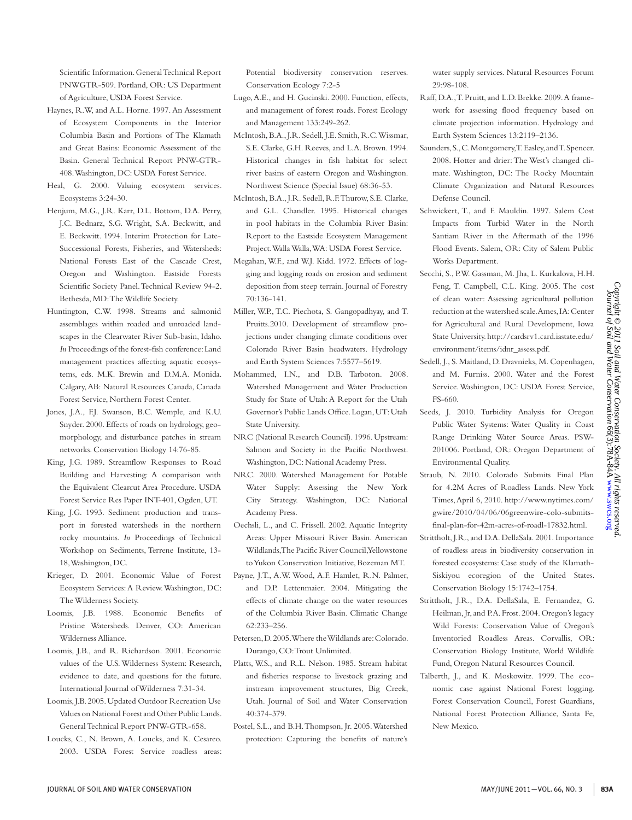Scientific Information. General Technical Report PNWGTR-509. Portland, OR: US Department of Agriculture, USDA Forest Service.

- Haynes, R.W, and A.L. Horne. 1997. An Assessment of Ecosystem Components in the Interior Columbia Basin and Portions of The Klamath and Great Basins: Economic Assessment of the Basin. General Technical Report PNW-GTR-408. Washington, DC: USDA Forest Service.
- Heal, G. 2000. Valuing ecosystem services. Ecosystems 3:24-30.
- Henjum, M.G., J.R. Karr, D.L. Bottom, D.A. Perry, J.C. Bednarz, S.G. Wright, S.A. Beckwitt, and E. Beckwitt. 1994. Interim Protection for Late-Successional Forests, Fisheries, and Watersheds: National Forests East of the Cascade Crest, Oregon and Washington. Eastside Forests Scientific Society Panel. Technical Review 94-2. Bethesda, MD: The Wildlife Society.
- Huntington, C.W. 1998. Streams and salmonid assemblages within roaded and unroaded landscapes in the Clearwater River Sub-basin, Idaho. *In* Proceedings of the forest-fish conference: Land management practices affecting aquatic ecosystems, eds. M.K. Brewin and D.M.A. Monida. Calgary, AB: Natural Resources Canada, Canada Forest Service, Northern Forest Center.
- Jones, J.A., F.J. Swanson, B.C. Wemple, and K.U. Snyder. 2000. Effects of roads on hydrology, geomorphology, and disturbance patches in stream networks. Conservation Biology 14:76-85.
- King, J.G. 1989. Streamflow Responses to Road Building and Harvesting: A comparison with the Equivalent Clearcut Area Procedure. USDA Forest Service Res Paper INT-401, Ogden, UT.
- King, J.G. 1993. Sediment production and transport in forested watersheds in the northern rocky mountains. *In* Proceedings of Technical Workshop on Sediments, Terrene Institute, 13- 18, Washington, DC.
- Krieger, D. 2001. Economic Value of Forest Ecosystem Services: A Review. Washington, DC: The Wilderness Society.
- Loomis, J.B. 1988. Economic Benefits of Pristine Watersheds. Denver, CO: American Wilderness Alliance.
- Loomis, J.B., and R. Richardson. 2001. Economic values of the U.S. Wilderness System: Research, evidence to date, and questions for the future. International Journal of Wilderness 7:31-34.
- Loomis, J.B. 2005. Updated Outdoor Recreation Use Values on National Forest and Other Public Lands. General Technical Report PNW-GTR-658.
- Loucks, C., N. Brown, A. Loucks, and K. Cesareo. 2003. USDA Forest Service roadless areas:

Potential biodiversity conservation reserves. Conservation Ecology 7:2-5

- Lugo, A.E., and H. Gucinski. 2000. Function, effects, and management of forest roads. Forest Ecology and Management 133:249-262.
- McIntosh, B.A., J.R. Sedell, J.E. Smith, R.C. Wissmar, S.E. Clarke, G.H. Reeves, and L.A. Brown. 1994. Historical changes in fish habitat for select river basins of eastern Oregon and Washington. Northwest Science (Special Issue) 68:36-53.
- McIntosh, B.A., J.R. Sedell, R.F. Thurow, S.E. Clarke, and G.L. Chandler. 1995. Historical changes in pool habitats in the Columbia River Basin: Report to the Eastside Ecosystem Management Project. Walla Walla, WA: USDA Forest Service.
- Megahan, W.F., and W.J. Kidd. 1972. Effects of logging and logging roads on erosion and sediment deposition from steep terrain. Journal of Forestry 70:136-141.
- Miller, W.P., T.C. Piechota, S. Gangopadhyay, and T. Pruitts.2010. Development of streamflow projections under changing climate conditions over Colorado River Basin headwaters. Hydrology and Earth System Sciences 7:5577–5619.
- Mohammed, I.N., and D.B. Tarboton. 2008. Watershed Management and Water Production Study for State of Utah: A Report for the Utah Governor's Public Lands Office. Logan, UT: Utah State University.
- NRC (National Research Council). 1996. Upstream: Salmon and Society in the Pacific Northwest. Washington, DC: National Academy Press.
- NRC. 2000. Watershed Management for Potable Water Supply: Assessing the New York City Strategy. Washington, DC: National Academy Press.
- Oechsli, L., and C. Frissell. 2002. Aquatic Integrity Areas: Upper Missouri River Basin. American Wildlands, The Pacific River Council, Yellowstone to Yukon Conservation Initiative, Bozeman MT.
- Payne, J.T., A.W. Wood, A.F. Hamlet, R.N. Palmer, and D.P. Lettenmaier. 2004. Mitigating the effects of climate change on the water resources of the Columbia River Basin. Climatic Change 62:233–256.
- Petersen, D. 2005. Where the Wildlands are: Colorado. Durango, CO: Trout Unlimited.
- Platts, W.S., and R.L. Nelson. 1985. Stream habitat and fisheries response to livestock grazing and instream improvement structures, Big Creek, Utah. Journal of Soil and Water Conservation 40:374-379.
- Postel, S.L., and B.H. Thompson, Jr. 2005. Watershed protection: Capturing the benefits of nature's

water supply services. Natural Resources Forum 29:98-108.

- Raff, D.A., T. Pruitt, and L.D. Brekke. 2009. A framework for assessing flood frequency based on climate projection information. Hydrology and Earth System Sciences 13:2119–2136.
- Saunders, S., C. Montgomery, T. Easley, and T. Spencer. 2008. Hotter and drier: The West's changed climate. Washington, DC: The Rocky Mountain Climate Organization and Natural Resources Defense Council.
- Schwickert, T., and F. Mauldin. 1997. Salem Cost Impacts from Turbid Water in the North Santiam River in the Aftermath of the 1996 Flood Events. Salem, OR: City of Salem Public Works Department.
- Secchi, S., P.W. Gassman, M. Jha, L. Kurkalova, H.H. Feng, T. Campbell, C.L. King. 2005. The cost of clean water: Assessing agricultural pollution reduction at the watershed scale. Ames, IA: Center for Agricultural and Rural Development, Iowa State University. http://cardsrv1.card.iastate.edu/ environment/items/idnr\_assess.pdf.
- Sedell, J., S. Maitland, D. Dravnieks, M. Copenhagen, and M. Furniss. 2000. Water and the Forest Service. Washington, DC: USDA Forest Service, FS-660.
- Seeds, J. 2010. Turbidity Analysis for Oregon Public Water Systems: Water Quality in Coast Range Drinking Water Source Areas. PSW-201006. Portland, OR: Oregon Department of Environmental Quality.
- Straub, N. 2010. Colorado Submits Final Plan for 4.2M Acres of Roadless Lands. New York Times, April 6, 2010. http://www.nytimes.com/ gwire/2010/04/06/06greenwire-colo-submitsfinal-plan-for-42m-acres-of-roadl-17832.html.
- Strittholt, J.R., and D.A. DellaSala. 2001. Importance of roadless areas in biodiversity conservation in forested ecosystems: Case study of the Klamath-Siskiyou ecoregion of the United States. Conservation Biology 15:1742–1754.
- Strittholt, J.R., D.A. DellaSala, E. Fernandez, G. Heilman, Jr, and P.A. Frost. 2004. Oregon's legacy Wild Forests: Conservation Value of Oregon's Inventoried Roadless Areas. Corvallis, OR: Conservation Biology Institute, World Wildlife Fund, Oregon Natural Resources Council.
- Talberth, J., and K. Moskowitz. 1999. The economic case against National Forest logging. Forest Conservation Council, Forest Guardians, National Forest Protection Alliance, Santa Fe, New Mexico.